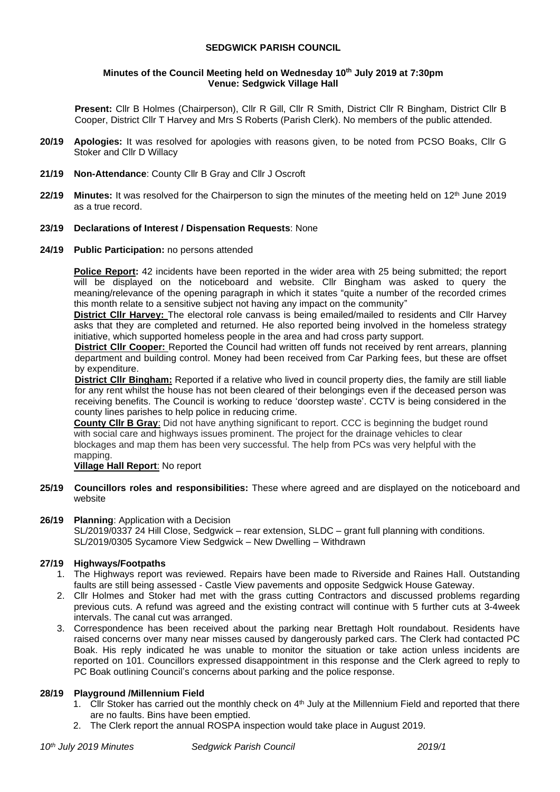## **SEDGWICK PARISH COUNCIL**

#### **Minutes of the Council Meeting held on Wednesday 10 th July 2019 at 7:30pm Venue: Sedgwick Village Hall**

**Present:** Cllr B Holmes (Chairperson), Cllr R Gill, Cllr R Smith, District Cllr R Bingham, District Cllr B Cooper, District Cllr T Harvey and Mrs S Roberts (Parish Clerk). No members of the public attended.

- **20/19 Apologies:** It was resolved for apologies with reasons given, to be noted from PCSO Boaks, Cllr G Stoker and Cllr D Willacy
- **21/19 Non-Attendance**: County Cllr B Gray and Cllr J Oscroft
- **22/19 Minutes:** It was resolved for the Chairperson to sign the minutes of the meeting held on 12<sup>th</sup> June 2019 as a true record.

## **23/19 Declarations of Interest / Dispensation Requests**: None

## **24/19 Public Participation:** no persons attended

**Police Report:** 42 incidents have been reported in the wider area with 25 being submitted; the report will be displayed on the noticeboard and website. Cllr Bingham was asked to query the meaning/relevance of the opening paragraph in which it states "quite a number of the recorded crimes this month relate to a sensitive subject not having any impact on the community"

**District Cllr Harvey:** The electoral role canvass is being emailed/mailed to residents and Cllr Harvey asks that they are completed and returned. He also reported being involved in the homeless strategy initiative, which supported homeless people in the area and had cross party support.

**District Cllr Cooper:** Reported the Council had written off funds not received by rent arrears, planning department and building control. Money had been received from Car Parking fees, but these are offset by expenditure.

**District Cllr Bingham:** Reported if a relative who lived in council property dies, the family are still liable for any rent whilst the house has not been cleared of their belongings even if the deceased person was receiving benefits. The Council is working to reduce 'doorstep waste'. CCTV is being considered in the county lines parishes to help police in reducing crime.

**County Cllr B Gray**: Did not have anything significant to report. CCC is beginning the budget round with social care and highways issues prominent. The project for the drainage vehicles to clear blockages and map them has been very successful. The help from PCs was very helpful with the mapping.

## **Village Hall Report**: No report

**25/19 Councillors roles and responsibilities:** These where agreed and are displayed on the noticeboard and website

#### **26/19 Planning**: Application with a Decision

SL/2019/0337 24 Hill Close, Sedgwick – rear extension, SLDC – grant full planning with conditions. SL/2019/0305 Sycamore View Sedgwick – New Dwelling – Withdrawn

# **27/19 Highways/Footpaths**

- 1. The Highways report was reviewed. Repairs have been made to Riverside and Raines Hall. Outstanding faults are still being assessed - Castle View pavements and opposite Sedgwick House Gateway.
- 2. Cllr Holmes and Stoker had met with the grass cutting Contractors and discussed problems regarding previous cuts. A refund was agreed and the existing contract will continue with 5 further cuts at 3-4week intervals. The canal cut was arranged.
- 3. Correspondence has been received about the parking near Brettagh Holt roundabout. Residents have raised concerns over many near misses caused by dangerously parked cars. The Clerk had contacted PC Boak. His reply indicated he was unable to monitor the situation or take action unless incidents are reported on 101. Councillors expressed disappointment in this response and the Clerk agreed to reply to PC Boak outlining Council's concerns about parking and the police response.

#### **28/19 Playground /Millennium Field**

- 1. Cllr Stoker has carried out the monthly check on  $4<sup>th</sup>$  July at the Millennium Field and reported that there are no faults. Bins have been emptied.
- 2. The Clerk report the annual ROSPA inspection would take place in August 2019.